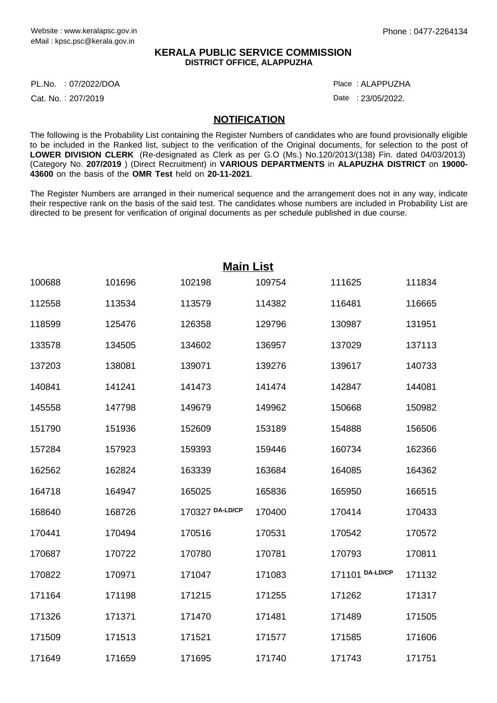## **KERALA PUBLIC SERVICE COMMISSION DISTRICT OFFICE, ALAPPUZHA**

PL.No. :07/2022/DOA Place

Cat. No.: 207/2019

ALAPPUZHA :

Date: 23/05/2022.

## **NOTIFICATION**

The following is the Probability List containing the Register Numbers of candidates who are found provisionally eligible to be included in the Ranked list, subject to the verification of the Original documents, for selection to the post of **LOWER DIVISION CLERK** (Re-designated as Clerk as per G.O (Ms.) No.120/2013/(138) Fin. dated 04/03/2013) (Category No. **207/2019** ) (Direct Recruitment) in **VARIOUS DEPARTMENTS** in **ALAPUZHA DISTRICT** on **19000- 43600** on the basis of the **OMR Test** held on **20-11-2021**.

The Register Numbers are arranged in their numerical sequence and the arrangement does not in any way, indicate their respective rank on the basis of the said test. The candidates whose numbers are included in Probability List are directed to be present for verification of original documents as per schedule published in due course.

|        | <b>Main List</b> |                 |        |                 |        |  |  |  |
|--------|------------------|-----------------|--------|-----------------|--------|--|--|--|
| 100688 | 101696           | 102198          | 109754 | 111625          | 111834 |  |  |  |
| 112558 | 113534           | 113579          | 114382 | 116481          | 116665 |  |  |  |
| 118599 | 125476           | 126358          | 129796 | 130987          | 131951 |  |  |  |
| 133578 | 134505           | 134602          | 136957 | 137029          | 137113 |  |  |  |
| 137203 | 138081           | 139071          | 139276 | 139617          | 140733 |  |  |  |
| 140841 | 141241           | 141473          | 141474 | 142847          | 144081 |  |  |  |
| 145558 | 147798           | 149679          | 149962 | 150668          | 150982 |  |  |  |
| 151790 | 151936           | 152609          | 153189 | 154888          | 156506 |  |  |  |
| 157284 | 157923           | 159393          | 159446 | 160734          | 162366 |  |  |  |
| 162562 | 162824           | 163339          | 163684 | 164085          | 164362 |  |  |  |
| 164718 | 164947           | 165025          | 165836 | 165950          | 166515 |  |  |  |
| 168640 | 168726           | 170327 DA-LD/CP | 170400 | 170414          | 170433 |  |  |  |
| 170441 | 170494           | 170516          | 170531 | 170542          | 170572 |  |  |  |
| 170687 | 170722           | 170780          | 170781 | 170793          | 170811 |  |  |  |
| 170822 | 170971           | 171047          | 171083 | 171101 DA-LD/CP | 171132 |  |  |  |
| 171164 | 171198           | 171215          | 171255 | 171262          | 171317 |  |  |  |
| 171326 | 171371           | 171470          | 171481 | 171489          | 171505 |  |  |  |
| 171509 | 171513           | 171521          | 171577 | 171585          | 171606 |  |  |  |
| 171649 | 171659           | 171695          | 171740 | 171743          | 171751 |  |  |  |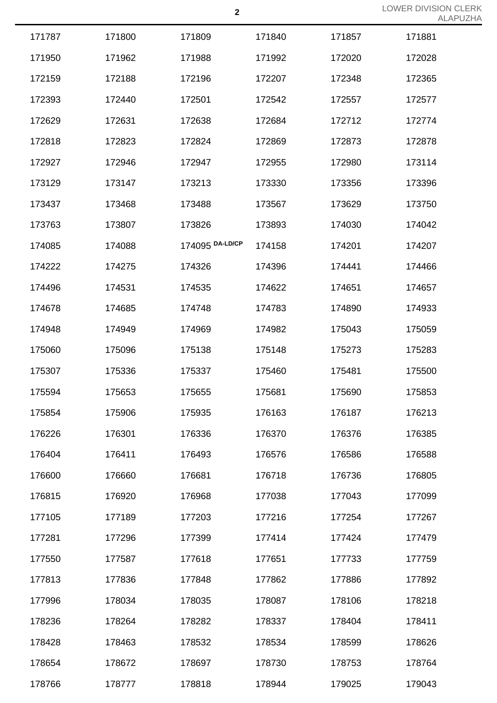|        |        |                 |        |        | ALP    |
|--------|--------|-----------------|--------|--------|--------|
| 171787 | 171800 | 171809          | 171840 | 171857 | 171881 |
| 171950 | 171962 | 171988          | 171992 | 172020 | 172028 |
| 172159 | 172188 | 172196          | 172207 | 172348 | 172365 |
| 172393 | 172440 | 172501          | 172542 | 172557 | 172577 |
| 172629 | 172631 | 172638          | 172684 | 172712 | 172774 |
| 172818 | 172823 | 172824          | 172869 | 172873 | 172878 |
| 172927 | 172946 | 172947          | 172955 | 172980 | 173114 |
| 173129 | 173147 | 173213          | 173330 | 173356 | 173396 |
| 173437 | 173468 | 173488          | 173567 | 173629 | 173750 |
| 173763 | 173807 | 173826          | 173893 | 174030 | 174042 |
| 174085 | 174088 | 174095 DA-LD/CP | 174158 | 174201 | 174207 |
| 174222 | 174275 | 174326          | 174396 | 174441 | 174466 |
| 174496 | 174531 | 174535          | 174622 | 174651 | 174657 |
| 174678 | 174685 | 174748          | 174783 | 174890 | 174933 |
| 174948 | 174949 | 174969          | 174982 | 175043 | 175059 |
| 175060 | 175096 | 175138          | 175148 | 175273 | 175283 |
| 175307 | 175336 | 175337          | 175460 | 175481 | 175500 |
| 175594 | 175653 | 175655          | 175681 | 175690 | 175853 |
| 175854 | 175906 | 175935          | 176163 | 176187 | 176213 |
| 176226 | 176301 | 176336          | 176370 | 176376 | 176385 |
| 176404 | 176411 | 176493          | 176576 | 176586 | 176588 |
| 176600 | 176660 | 176681          | 176718 | 176736 | 176805 |
| 176815 | 176920 | 176968          | 177038 | 177043 | 177099 |
| 177105 | 177189 | 177203          | 177216 | 177254 | 177267 |
| 177281 | 177296 | 177399          | 177414 | 177424 | 177479 |
| 177550 | 177587 | 177618          | 177651 | 177733 | 177759 |
| 177813 | 177836 | 177848          | 177862 | 177886 | 177892 |
| 177996 | 178034 | 178035          | 178087 | 178106 | 178218 |
| 178236 | 178264 | 178282          | 178337 | 178404 | 178411 |
| 178428 | 178463 | 178532          | 178534 | 178599 | 178626 |
| 178654 | 178672 | 178697          | 178730 | 178753 | 178764 |
| 178766 | 178777 | 178818          | 178944 | 179025 | 179043 |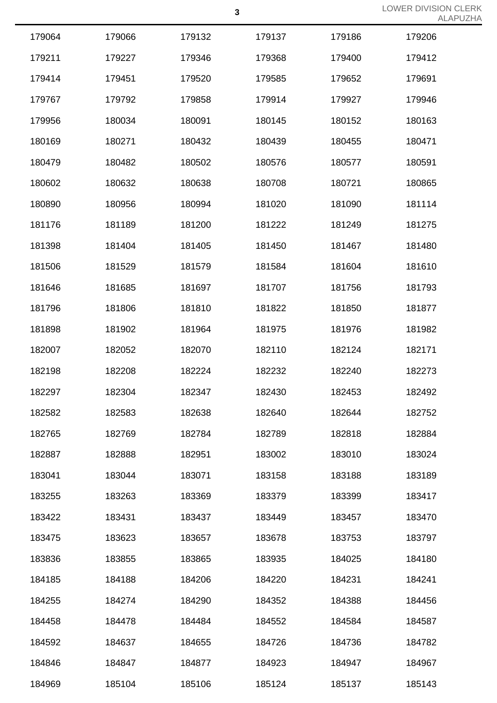|        |        |        |        |        | $M_{\rm L}$ |
|--------|--------|--------|--------|--------|-------------|
| 179064 | 179066 | 179132 | 179137 | 179186 | 179206      |
| 179211 | 179227 | 179346 | 179368 | 179400 | 179412      |
| 179414 | 179451 | 179520 | 179585 | 179652 | 179691      |
| 179767 | 179792 | 179858 | 179914 | 179927 | 179946      |
| 179956 | 180034 | 180091 | 180145 | 180152 | 180163      |
| 180169 | 180271 | 180432 | 180439 | 180455 | 180471      |
| 180479 | 180482 | 180502 | 180576 | 180577 | 180591      |
| 180602 | 180632 | 180638 | 180708 | 180721 | 180865      |
| 180890 | 180956 | 180994 | 181020 | 181090 | 181114      |
| 181176 | 181189 | 181200 | 181222 | 181249 | 181275      |
| 181398 | 181404 | 181405 | 181450 | 181467 | 181480      |
| 181506 | 181529 | 181579 | 181584 | 181604 | 181610      |
| 181646 | 181685 | 181697 | 181707 | 181756 | 181793      |
| 181796 | 181806 | 181810 | 181822 | 181850 | 181877      |
| 181898 | 181902 | 181964 | 181975 | 181976 | 181982      |
| 182007 | 182052 | 182070 | 182110 | 182124 | 182171      |
| 182198 | 182208 | 182224 | 182232 | 182240 | 182273      |
| 182297 | 182304 | 182347 | 182430 | 182453 | 182492      |
| 182582 | 182583 | 182638 | 182640 | 182644 | 182752      |
| 182765 | 182769 | 182784 | 182789 | 182818 | 182884      |
| 182887 | 182888 | 182951 | 183002 | 183010 | 183024      |
| 183041 | 183044 | 183071 | 183158 | 183188 | 183189      |
| 183255 | 183263 | 183369 | 183379 | 183399 | 183417      |
| 183422 | 183431 | 183437 | 183449 | 183457 | 183470      |
| 183475 | 183623 | 183657 | 183678 | 183753 | 183797      |
| 183836 | 183855 | 183865 | 183935 | 184025 | 184180      |
| 184185 | 184188 | 184206 | 184220 | 184231 | 184241      |
| 184255 | 184274 | 184290 | 184352 | 184388 | 184456      |
| 184458 | 184478 | 184484 | 184552 | 184584 | 184587      |
| 184592 | 184637 | 184655 | 184726 | 184736 | 184782      |
| 184846 | 184847 | 184877 | 184923 | 184947 | 184967      |
| 184969 | 185104 | 185106 | 185124 | 185137 | 185143      |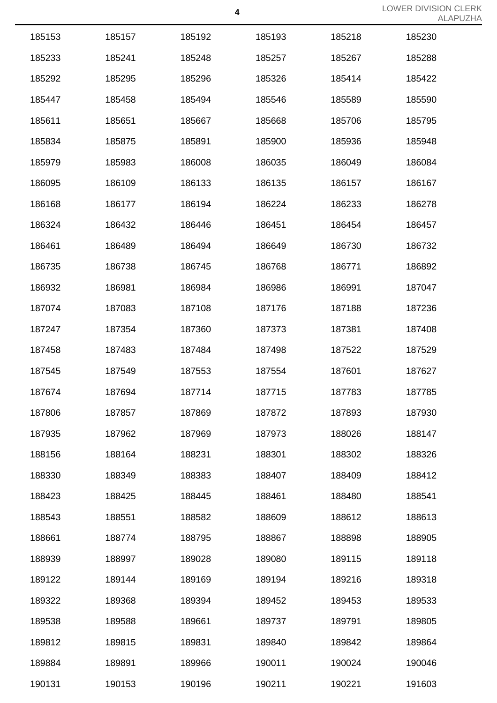|        |        |        |        |        | $\sqrt{2}$ |
|--------|--------|--------|--------|--------|------------|
| 185153 | 185157 | 185192 | 185193 | 185218 | 185230     |
| 185233 | 185241 | 185248 | 185257 | 185267 | 185288     |
| 185292 | 185295 | 185296 | 185326 | 185414 | 185422     |
| 185447 | 185458 | 185494 | 185546 | 185589 | 185590     |
| 185611 | 185651 | 185667 | 185668 | 185706 | 185795     |
| 185834 | 185875 | 185891 | 185900 | 185936 | 185948     |
| 185979 | 185983 | 186008 | 186035 | 186049 | 186084     |
| 186095 | 186109 | 186133 | 186135 | 186157 | 186167     |
| 186168 | 186177 | 186194 | 186224 | 186233 | 186278     |
| 186324 | 186432 | 186446 | 186451 | 186454 | 186457     |
| 186461 | 186489 | 186494 | 186649 | 186730 | 186732     |
| 186735 | 186738 | 186745 | 186768 | 186771 | 186892     |
| 186932 | 186981 | 186984 | 186986 | 186991 | 187047     |
| 187074 | 187083 | 187108 | 187176 | 187188 | 187236     |
| 187247 | 187354 | 187360 | 187373 | 187381 | 187408     |
| 187458 | 187483 | 187484 | 187498 | 187522 | 187529     |
| 187545 | 187549 | 187553 | 187554 | 187601 | 187627     |
| 187674 | 187694 | 187714 | 187715 | 187783 | 187785     |
| 187806 | 187857 | 187869 | 187872 | 187893 | 187930     |
| 187935 | 187962 | 187969 | 187973 | 188026 | 188147     |
| 188156 | 188164 | 188231 | 188301 | 188302 | 188326     |
| 188330 | 188349 | 188383 | 188407 | 188409 | 188412     |
| 188423 | 188425 | 188445 | 188461 | 188480 | 188541     |
| 188543 | 188551 | 188582 | 188609 | 188612 | 188613     |
| 188661 | 188774 | 188795 | 188867 | 188898 | 188905     |
| 188939 | 188997 | 189028 | 189080 | 189115 | 189118     |
| 189122 | 189144 | 189169 | 189194 | 189216 | 189318     |
| 189322 | 189368 | 189394 | 189452 | 189453 | 189533     |
| 189538 | 189588 | 189661 | 189737 | 189791 | 189805     |
| 189812 | 189815 | 189831 | 189840 | 189842 | 189864     |
| 189884 | 189891 | 189966 | 190011 | 190024 | 190046     |
| 190131 | 190153 | 190196 | 190211 | 190221 | 191603     |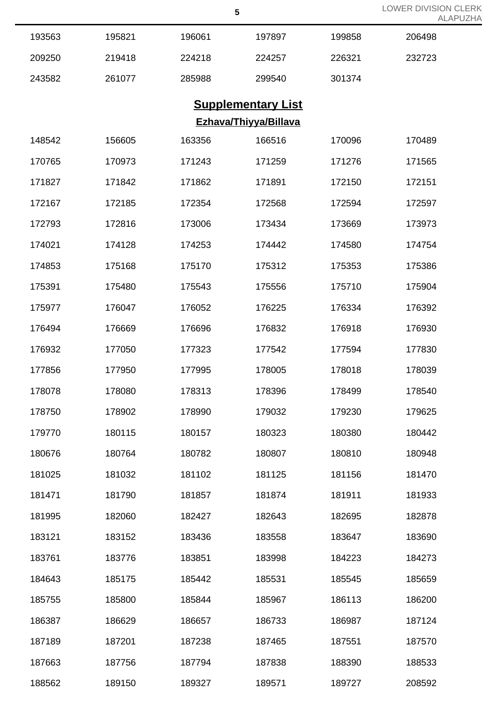| LOWER DIVISION CLERK |  |
|----------------------|--|
| ALAPUZHA             |  |

|        |                       |        |                           |        | ALAF   |  |  |  |
|--------|-----------------------|--------|---------------------------|--------|--------|--|--|--|
| 193563 | 195821                | 196061 | 197897                    | 199858 | 206498 |  |  |  |
| 209250 | 219418                | 224218 | 224257                    | 226321 | 232723 |  |  |  |
| 243582 | 261077                | 285988 | 299540                    | 301374 |        |  |  |  |
|        |                       |        | <b>Supplementary List</b> |        |        |  |  |  |
|        | Ezhava/Thiyya/Billava |        |                           |        |        |  |  |  |
| 148542 | 156605                | 163356 | 166516                    | 170096 | 170489 |  |  |  |
| 170765 | 170973                | 171243 | 171259                    | 171276 | 171565 |  |  |  |
| 171827 | 171842                | 171862 | 171891                    | 172150 | 172151 |  |  |  |
| 172167 | 172185                | 172354 | 172568                    | 172594 | 172597 |  |  |  |
| 172793 | 172816                | 173006 | 173434                    | 173669 | 173973 |  |  |  |
| 174021 | 174128                | 174253 | 174442                    | 174580 | 174754 |  |  |  |
| 174853 | 175168                | 175170 | 175312                    | 175353 | 175386 |  |  |  |
| 175391 | 175480                | 175543 | 175556                    | 175710 | 175904 |  |  |  |
| 175977 | 176047                | 176052 | 176225                    | 176334 | 176392 |  |  |  |
| 176494 | 176669                | 176696 | 176832                    | 176918 | 176930 |  |  |  |
| 176932 | 177050                | 177323 | 177542                    | 177594 | 177830 |  |  |  |
| 177856 | 177950                | 177995 | 178005                    | 178018 | 178039 |  |  |  |
| 178078 | 178080                | 178313 | 178396                    | 178499 | 178540 |  |  |  |
| 178750 | 178902                | 178990 | 179032                    | 179230 | 179625 |  |  |  |
| 179770 | 180115                | 180157 | 180323                    | 180380 | 180442 |  |  |  |
| 180676 | 180764                | 180782 | 180807                    | 180810 | 180948 |  |  |  |
| 181025 | 181032                | 181102 | 181125                    | 181156 | 181470 |  |  |  |
| 181471 | 181790                | 181857 | 181874                    | 181911 | 181933 |  |  |  |
| 181995 | 182060                | 182427 | 182643                    | 182695 | 182878 |  |  |  |
| 183121 | 183152                | 183436 | 183558                    | 183647 | 183690 |  |  |  |
| 183761 | 183776                | 183851 | 183998                    | 184223 | 184273 |  |  |  |
| 184643 | 185175                | 185442 | 185531                    | 185545 | 185659 |  |  |  |
| 185755 | 185800                | 185844 | 185967                    | 186113 | 186200 |  |  |  |
| 186387 | 186629                | 186657 | 186733                    | 186987 | 187124 |  |  |  |
| 187189 | 187201                | 187238 | 187465                    | 187551 | 187570 |  |  |  |
| 187663 | 187756                | 187794 | 187838                    | 188390 | 188533 |  |  |  |
| 188562 | 189150                | 189327 | 189571                    | 189727 | 208592 |  |  |  |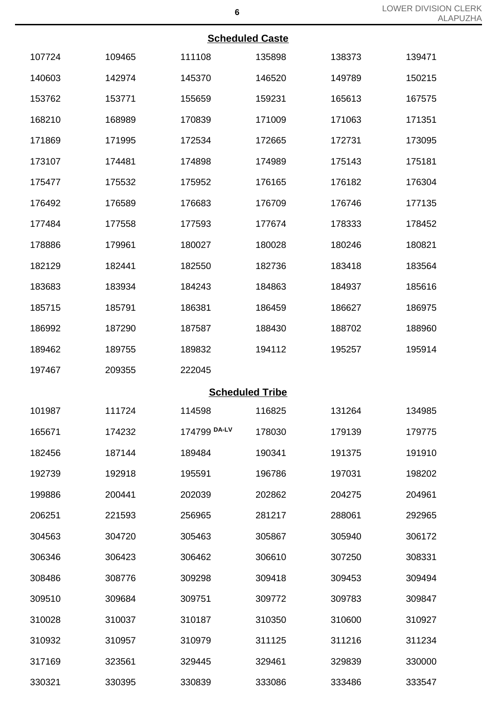|        |        |              | <b>Scheduled Caste</b> |        |        |
|--------|--------|--------------|------------------------|--------|--------|
| 107724 | 109465 | 111108       | 135898                 | 138373 | 139471 |
| 140603 | 142974 | 145370       | 146520                 | 149789 | 150215 |
| 153762 | 153771 | 155659       | 159231                 | 165613 | 167575 |
| 168210 | 168989 | 170839       | 171009                 | 171063 | 171351 |
| 171869 | 171995 | 172534       | 172665                 | 172731 | 173095 |
| 173107 | 174481 | 174898       | 174989                 | 175143 | 175181 |
| 175477 | 175532 | 175952       | 176165                 | 176182 | 176304 |
| 176492 | 176589 | 176683       | 176709                 | 176746 | 177135 |
| 177484 | 177558 | 177593       | 177674                 | 178333 | 178452 |
| 178886 | 179961 | 180027       | 180028                 | 180246 | 180821 |
| 182129 | 182441 | 182550       | 182736                 | 183418 | 183564 |
| 183683 | 183934 | 184243       | 184863                 | 184937 | 185616 |
| 185715 | 185791 | 186381       | 186459                 | 186627 | 186975 |
| 186992 | 187290 | 187587       | 188430                 | 188702 | 188960 |
| 189462 | 189755 | 189832       | 194112                 | 195257 | 195914 |
| 197467 | 209355 | 222045       |                        |        |        |
|        |        |              | <b>Scheduled Tribe</b> |        |        |
| 101987 | 111724 | 114598       | 116825                 | 131264 | 134985 |
| 165671 | 174232 | 174799 DA-LV | 178030                 | 179139 | 179775 |
| 182456 | 187144 | 189484       | 190341                 | 191375 | 191910 |
| 192739 | 192918 | 195591       | 196786                 | 197031 | 198202 |
| 199886 | 200441 | 202039       | 202862                 | 204275 | 204961 |
| 206251 | 221593 | 256965       | 281217                 | 288061 | 292965 |
| 304563 | 304720 | 305463       | 305867                 | 305940 | 306172 |
| 306346 | 306423 | 306462       | 306610                 | 307250 | 308331 |
| 308486 | 308776 | 309298       | 309418                 | 309453 | 309494 |

309684 309751 309772 309783 309847

310037 310187 310350 310600 310927

310957 310979 311125 311216 311234

323561 329445 329461 329839 330000

330395 330839 333086 333486 333547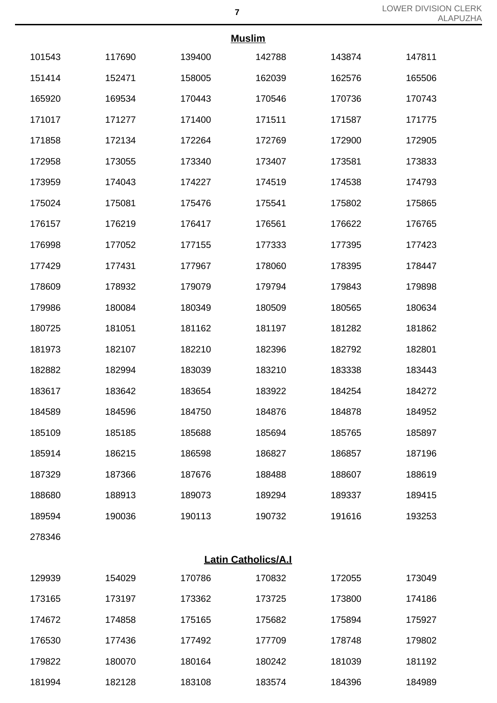|        | <b>Muslim</b> |        |        |        |        |  |
|--------|---------------|--------|--------|--------|--------|--|
| 101543 | 117690        | 139400 | 142788 | 143874 | 147811 |  |
| 151414 | 152471        | 158005 | 162039 | 162576 | 165506 |  |
| 165920 | 169534        | 170443 | 170546 | 170736 | 170743 |  |
| 171017 | 171277        | 171400 | 171511 | 171587 | 171775 |  |
| 171858 | 172134        | 172264 | 172769 | 172900 | 172905 |  |
| 172958 | 173055        | 173340 | 173407 | 173581 | 173833 |  |
| 173959 | 174043        | 174227 | 174519 | 174538 | 174793 |  |
| 175024 | 175081        | 175476 | 175541 | 175802 | 175865 |  |
| 176157 | 176219        | 176417 | 176561 | 176622 | 176765 |  |
| 176998 | 177052        | 177155 | 177333 | 177395 | 177423 |  |
| 177429 | 177431        | 177967 | 178060 | 178395 | 178447 |  |
| 178609 | 178932        | 179079 | 179794 | 179843 | 179898 |  |
| 179986 | 180084        | 180349 | 180509 | 180565 | 180634 |  |
| 180725 | 181051        | 181162 | 181197 | 181282 | 181862 |  |
| 181973 | 182107        | 182210 | 182396 | 182792 | 182801 |  |
| 182882 | 182994        | 183039 | 183210 | 183338 | 183443 |  |
| 183617 | 183642        | 183654 | 183922 | 184254 | 184272 |  |
| 184589 | 184596        | 184750 | 184876 | 184878 | 184952 |  |
| 185109 | 185185        | 185688 | 185694 | 185765 | 185897 |  |
| 185914 | 186215        | 186598 | 186827 | 186857 | 187196 |  |
| 187329 | 187366        | 187676 | 188488 | 188607 | 188619 |  |
| 188680 | 188913        | 189073 | 189294 | 189337 | 189415 |  |
| 189594 | 190036        | 190113 | 190732 | 191616 | 193253 |  |
| 278346 |               |        |        |        |        |  |

| <b>Latin Catholics/A.I</b> |
|----------------------------|
|                            |

| 129939 | 154029 | 170786 | 170832 | 172055 | 173049 |
|--------|--------|--------|--------|--------|--------|
| 173165 | 173197 | 173362 | 173725 | 173800 | 174186 |
| 174672 | 174858 | 175165 | 175682 | 175894 | 175927 |
| 176530 | 177436 | 177492 | 177709 | 178748 | 179802 |
| 179822 | 180070 | 180164 | 180242 | 181039 | 181192 |
| 181994 | 182128 | 183108 | 183574 | 184396 | 184989 |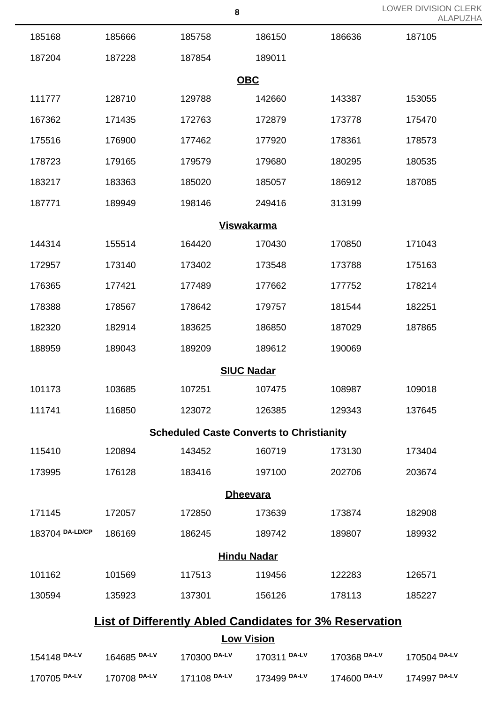|                 |              |              | 8                                                              |              | LOWER DIVISION (<br><b>ALAF</b> |
|-----------------|--------------|--------------|----------------------------------------------------------------|--------------|---------------------------------|
| 185168          | 185666       | 185758       | 186150                                                         | 186636       | 187105                          |
| 187204          | 187228       | 187854       | 189011                                                         |              |                                 |
|                 |              |              | <b>OBC</b>                                                     |              |                                 |
| 111777          | 128710       | 129788       | 142660                                                         | 143387       | 153055                          |
| 167362          | 171435       | 172763       | 172879                                                         | 173778       | 175470                          |
| 175516          | 176900       | 177462       | 177920                                                         | 178361       | 178573                          |
| 178723          | 179165       | 179579       | 179680                                                         | 180295       | 180535                          |
| 183217          | 183363       | 185020       | 185057                                                         | 186912       | 187085                          |
| 187771          | 189949       | 198146       | 249416                                                         | 313199       |                                 |
|                 |              |              | <b>Viswakarma</b>                                              |              |                                 |
| 144314          | 155514       | 164420       | 170430                                                         | 170850       | 171043                          |
| 172957          | 173140       | 173402       | 173548                                                         | 173788       | 175163                          |
| 176365          | 177421       | 177489       | 177662                                                         | 177752       | 178214                          |
| 178388          | 178567       | 178642       | 179757                                                         | 181544       | 182251                          |
| 182320          | 182914       | 183625       | 186850                                                         | 187029       | 187865                          |
| 188959          | 189043       | 189209       | 189612                                                         | 190069       |                                 |
|                 |              |              | <b>SIUC Nadar</b>                                              |              |                                 |
| 101173          | 103685       | 107251       | 107475                                                         | 108987       | 109018                          |
| 111741          | 116850       | 123072       | 126385                                                         | 129343       | 137645                          |
|                 |              |              | <b>Scheduled Caste Converts to Christianity</b>                |              |                                 |
| 115410          | 120894       | 143452       | 160719                                                         | 173130       | 173404                          |
| 173995          | 176128       | 183416       | 197100                                                         | 202706       | 203674                          |
|                 |              |              | <b>Dheevara</b>                                                |              |                                 |
| 171145          | 172057       | 172850       | 173639                                                         | 173874       | 182908                          |
| 183704 DA-LD/CP | 186169       | 186245       | 189742                                                         | 189807       | 189932                          |
|                 |              |              | <b>Hindu Nadar</b>                                             |              |                                 |
| 101162          | 101569       | 117513       | 119456                                                         | 122283       | 126571                          |
| 130594          | 135923       | 137301       | 156126                                                         | 178113       | 185227                          |
|                 |              |              | <b>List of Differently Abled Candidates for 3% Reservation</b> |              |                                 |
|                 |              |              | <b>Low Vision</b>                                              |              |                                 |
| 154148 DA-LV    | 164685 DA-LV | 170300 DA-LV | 170311 DA-LV                                                   | 170368 DA-LV | 170504 DA-LV                    |

**DA-LV** 170708 **DA-LV** 171108 **DA-LV** 173499 **DA-LV** 174600 **DA-LV** 174997 **DA-LV**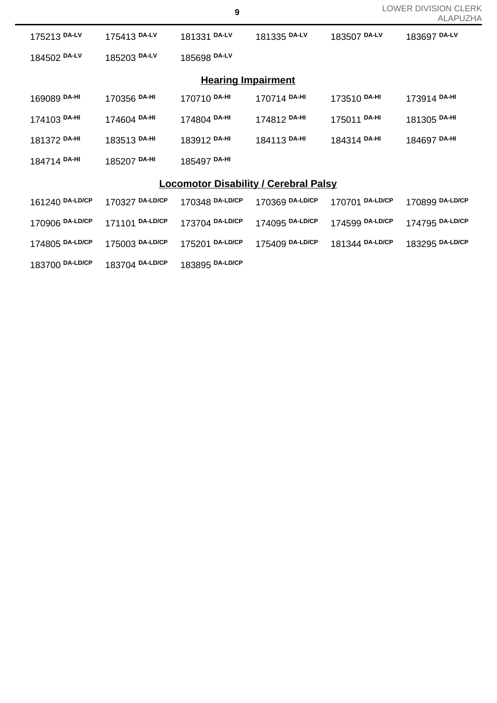| LOWER DIVISION CLERK |  |
|----------------------|--|
| ALAPUZHA             |  |

|                                              |                 |                 |                 |                 | ALAPUZF         |  |
|----------------------------------------------|-----------------|-----------------|-----------------|-----------------|-----------------|--|
| 175213 DA-LV                                 | 175413 DA-LV    | 181331 DA-LV    | 181335 DA-LV    | 183507 DA-LV    | 183697 DA-LV    |  |
| 184502 DA-LV                                 | 185203 DA-LV    | 185698 DA-LV    |                 |                 |                 |  |
| <b>Hearing Impairment</b>                    |                 |                 |                 |                 |                 |  |
| 169089 DA-HI                                 | 170356 DA-HI    | 170710 DA-HI    | 170714 DA-HI    | 173510 DA-HI    | 173914 DA-HI    |  |
| 174103 DA-HI                                 | 174604 DA-HI    | 174804 DA-HI    | 174812 DA-HI    | 175011 DA-HI    | 181305 DA-HI    |  |
| 181372 DA-HI                                 | 183513 DA-HI    | 183912 DA-HI    | 184113 DA-HI    | 184314 DA-HI    | 184697 DA-HI    |  |
| 184714 DA-HI                                 | 185207 DA-HI    | 185497 DA-HI    |                 |                 |                 |  |
| <b>Locomotor Disability / Cerebral Palsy</b> |                 |                 |                 |                 |                 |  |
| 161240 DA-LD/CP                              | 170327 DA-LD/CP | 170348 DA-LD/CP | 170369 DA-LD/CP | 170701 DA-LD/CP | 170899 DA-LD/CP |  |
| 170906 DA-LD/CP                              | 171101 DA-LD/CP | 173704 DA-LD/CP | 174095 DA-LD/CP | 174599 DA-LD/CP | 174795 DA-LD/CP |  |
| 174805 DA-LD/CP                              | 175003 DA-LD/CP | 175201 DA-LD/CP | 175409 DA-LD/CP | 181344 DA-LD/CP | 183295 DA-LD/CP |  |
| 183700 DA-LD/CP                              | 183704 DA-LD/CP | 183895 DA-LD/CP |                 |                 |                 |  |